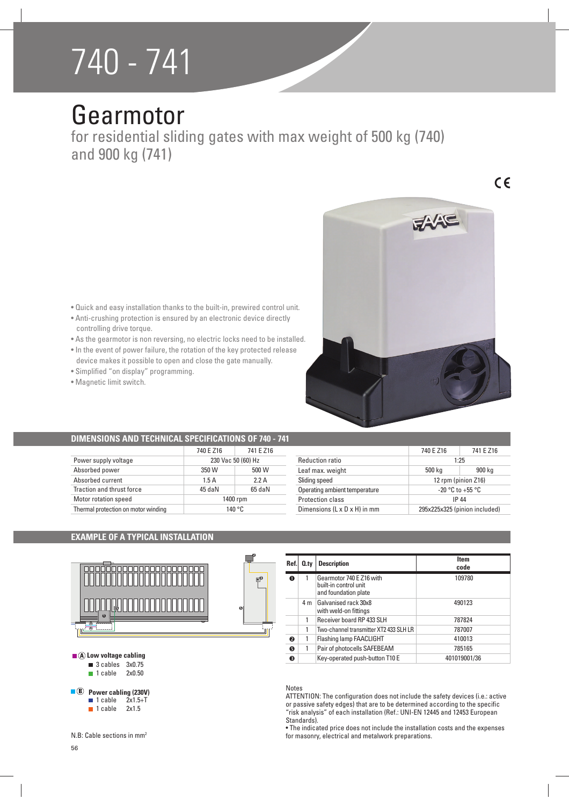# 740 - 741

# Gearmotor

for residential sliding gates with max weight of 500 kg (740) and 900 kg (741)

 $C \in$ 



- Anti-crushing protection is ensured by an electronic device directly controlling drive torque.
- As the gearmotor is non reversing, no electric locks need to be installed.
- $\bullet$  In the event of power failure, the rotation of the key protected release device makes it possible to open and close the gate manually.
- Simplified "on display" programming.
- · Magnetic limit switch.



# **DIMENSIONS AND TECHNICAL SPECIFICATIONS OF 740 - 741**

|                                     | 740 E Z16          | 741 E Z16 |
|-------------------------------------|--------------------|-----------|
|                                     |                    |           |
| Power supply voltage                | 230 Vac 50 (60) Hz |           |
| Absorbed power                      | 350 W              | 500 W     |
| Absorbed current                    | 1.5A               | 22A       |
| Traction and thrust force           | 45 daN             | 65 daN    |
| Motor rotation speed                | 1400 rpm           |           |
| Thermal protection on motor winding | 140 $^{\circ}$ C.  |           |

|                                          | 740 E Z16                     | 741 E Z16 |
|------------------------------------------|-------------------------------|-----------|
| <b>Reduction ratio</b>                   | 1.25                          |           |
| Leaf max. weight                         | 500 kg                        | 900 kg    |
| Sliding speed                            | 12 rpm (pinion Z16)           |           |
| Operating ambient temperature            | $-20$ °C to $+55$ °C          |           |
| Protection class                         | IP 44                         |           |
| Dimensions $(L \times D \times H)$ in mm | 295x225x325 (pinion included) |           |
|                                          |                               |           |

### **EXAMPLE OF A TYPICAL INSTALLATION**



|                     |          | Ref.      | Q.tv | <b>Description</b>                                                        | Item<br>code |
|---------------------|----------|-----------|------|---------------------------------------------------------------------------|--------------|
|                     | <b>B</b> | $\bf o$   |      | Gearmotor 740 E Z16 with<br>built-in control unit<br>and foundation plate | 109780       |
|                     |          |           | 4 m  | Galvanised rack 30x8<br>with weld-on fittings                             | 490123       |
| $\bullet$           |          |           |      | Receiver board RP 433 SLH                                                 | 787824       |
|                     |          |           |      | Two-channel transmitter XT2 433 SLH LR                                    | 787007       |
|                     |          | ◙         |      | <b>Flashing lamp FAACLIGHT</b>                                            | 410013       |
| Low voltage cabling |          | $\bullet$ |      | Pair of photocells SAFEBEAM                                               | 785165       |
|                     |          | ❸         |      | Key-operated push-button T10 E                                            | 401019001/36 |

#### Notes

ATTENTION: The configuration does not include the safety devices (i.e.: active or passive safety edges) that are to be determined according to the specific "risk analysis" of each installation (Ref.: UNI-EN 12445 and 12453 European Standards).

• The indicated price does not include the installation costs and the expenses for masonry, electrical and metalwork preparations.

| $\blacksquare$ (A) Low voltage cabling |                                |  |
|----------------------------------------|--------------------------------|--|
|                                        | $\blacksquare$ 3 cables 3x0.75 |  |

**1** cable 2x0.50

**B** Power cabling (230V)<br>**B** 1 cable 2x1.5+T  $2x1.5+T$ 

 $\blacksquare$  1 cable 2x1.5

N.B: Cable sections in mm<sup>2</sup>

56